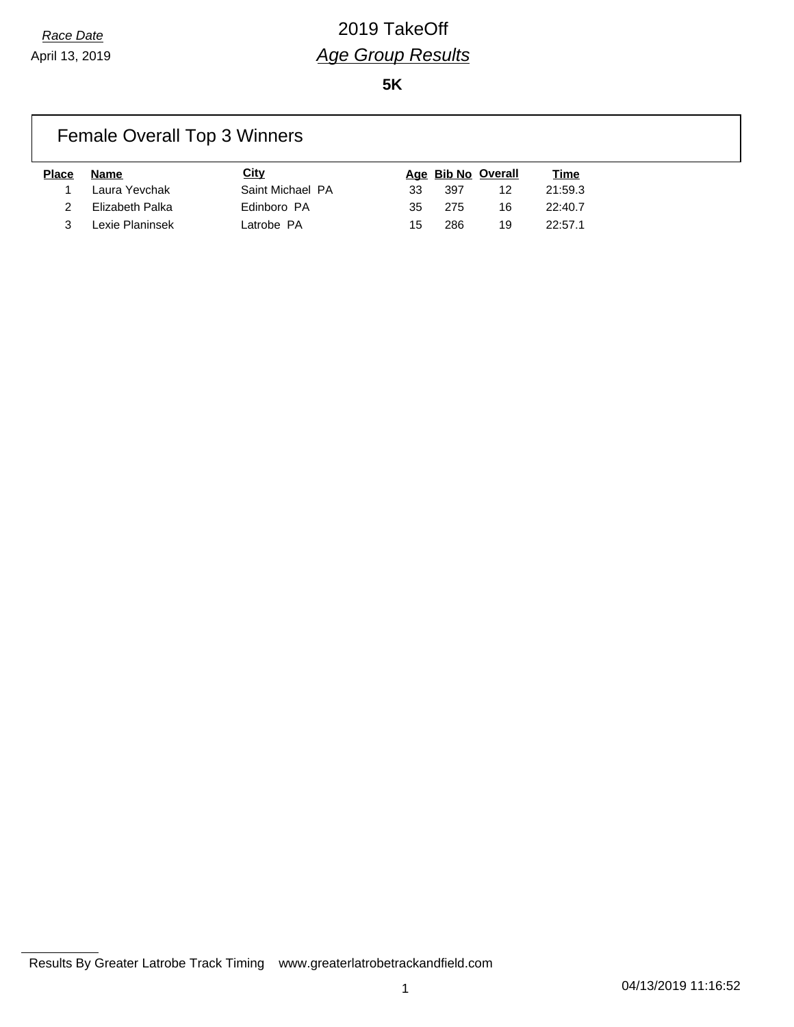**5K**

## Female Overall Top 3 Winners

| Place | Name              | City             |     |       | Age Bib No Overall | <u>Time</u> |
|-------|-------------------|------------------|-----|-------|--------------------|-------------|
|       | 1 Laura Yevchak   | Saint Michael PA | 33. | -397  | 12                 | 21:59.3     |
|       | Elizabeth Palka   | Edinboro PA      | 35  | - 275 | 16                 | 22:40.7     |
|       | 3 Lexie Planinsek | Latrobe PA       | 15. | 286   | 19                 | 22:57.1     |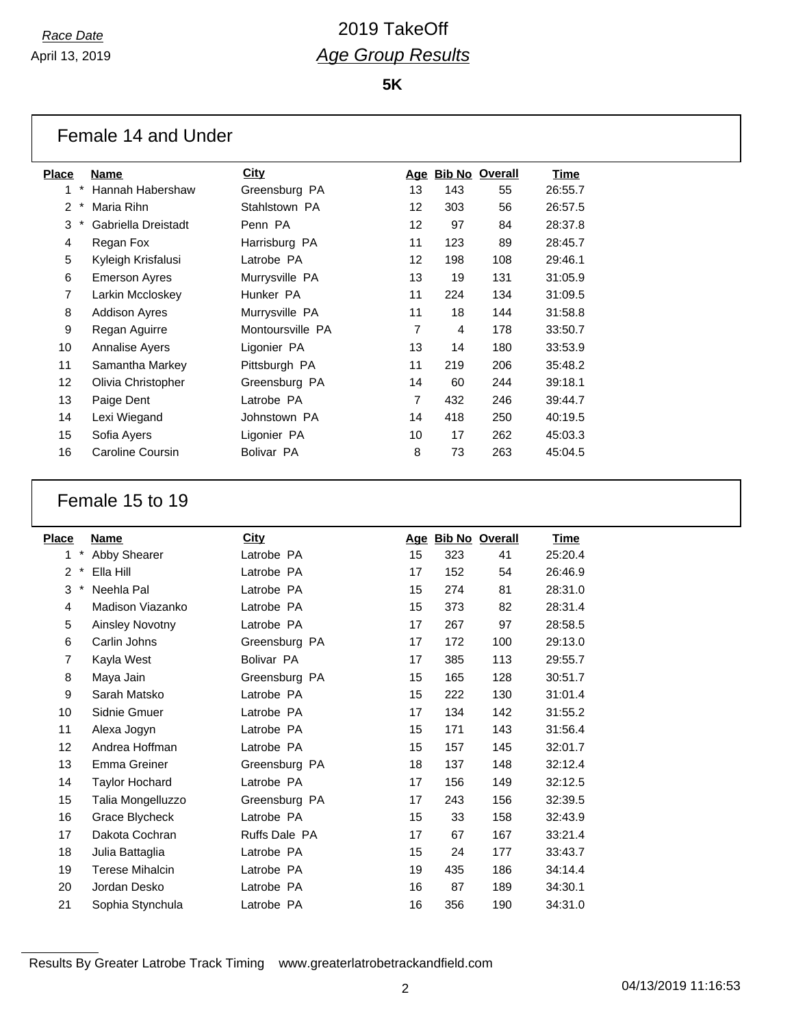**5K**

| Female 14 and Under |  |  |  |  |
|---------------------|--|--|--|--|
|---------------------|--|--|--|--|

| P <u>lace</u>     | Name                  | City             | Age               |     | <b>Bib No Overall</b> | Time    |
|-------------------|-----------------------|------------------|-------------------|-----|-----------------------|---------|
| $\ast$<br>1       | Hannah Habershaw      | Greensburg PA    | 13                | 143 | 55                    | 26:55.7 |
| $\mathcal{P}$     | Maria Rihn            | Stahlstown PA    | $12 \overline{ }$ | 303 | 56                    | 26:57.5 |
| 3                 | Gabriella Dreistadt   | Penn PA          | $12 \overline{ }$ | 97  | 84                    | 28:37.8 |
| 4                 | Regan Fox             | Harrisburg PA    | 11                | 123 | 89                    | 28:45.7 |
| 5                 | Kyleigh Krisfalusi    | Latrobe PA       | $12 \overline{ }$ | 198 | 108                   | 29:46.1 |
| 6                 | Emerson Ayres         | Murrysville PA   | 13                | 19  | 131                   | 31:05.9 |
| 7                 | Larkin Mccloskey      | Hunker PA        | 11                | 224 | 134                   | 31:09.5 |
| 8                 | <b>Addison Ayres</b>  | Murrysville PA   | 11                | 18  | 144                   | 31:58.8 |
| 9                 | Regan Aguirre         | Montoursville PA | $\overline{7}$    | 4   | 178                   | 33:50.7 |
| 10                | <b>Annalise Ayers</b> | Ligonier PA      | 13                | 14  | 180                   | 33:53.9 |
| 11                | Samantha Markey       | Pittsburgh PA    | 11                | 219 | 206                   | 35:48.2 |
| $12 \overline{ }$ | Olivia Christopher    | Greensburg PA    | 14                | 60  | 244                   | 39:18.1 |
| 13                | Paige Dent            | Latrobe PA       | $\overline{7}$    | 432 | 246                   | 39:44.7 |
| 14                | Lexi Wiegand          | Johnstown PA     | 14                | 418 | 250                   | 40:19.5 |
| 15                | Sofia Ayers           | Ligonier PA      | 10                | 17  | 262                   | 45:03.3 |
| 16                | Caroline Coursin      | Bolivar PA       | 8                 | 73  | 263                   | 45:04.5 |
|                   |                       |                  |                   |     |                       |         |

### Female 15 to 19

| <b>Place</b> | Name                   | <b>City</b>   | Aqe | <b>Bib No Overall</b> |     | <u>Time</u> |
|--------------|------------------------|---------------|-----|-----------------------|-----|-------------|
| $\star$<br>1 | Abby Shearer           | Latrobe PA    | 15  | 323                   | 41  | 25:20.4     |
| $\ast$<br>2  | Ella Hill              | Latrobe PA    | 17  | 152                   | 54  | 26:46.9     |
| 3<br>$\ast$  | Neehla Pal             | Latrobe PA    | 15  | 274                   | 81  | 28:31.0     |
| 4            | Madison Viazanko       | Latrobe PA    | 15  | 373                   | 82  | 28:31.4     |
| 5            | <b>Ainsley Novotny</b> | Latrobe PA    | 17  | 267                   | 97  | 28:58.5     |
| 6            | Carlin Johns           | Greensburg PA | 17  | 172                   | 100 | 29:13.0     |
| 7            | Kayla West             | Bolivar PA    | 17  | 385                   | 113 | 29:55.7     |
| 8            | Maya Jain              | Greensburg PA | 15  | 165                   | 128 | 30:51.7     |
| 9            | Sarah Matsko           | Latrobe PA    | 15  | 222                   | 130 | 31:01.4     |
| 10           | Sidnie Gmuer           | Latrobe PA    | 17  | 134                   | 142 | 31:55.2     |
| 11           | Alexa Jogyn            | Latrobe PA    | 15  | 171                   | 143 | 31:56.4     |
| 12           | Andrea Hoffman         | Latrobe PA    | 15  | 157                   | 145 | 32:01.7     |
| 13           | Emma Greiner           | Greensburg PA | 18  | 137                   | 148 | 32:12.4     |
| 14           | <b>Taylor Hochard</b>  | Latrobe PA    | 17  | 156                   | 149 | 32:12.5     |
| 15           | Talia Mongelluzzo      | Greensburg PA | 17  | 243                   | 156 | 32:39.5     |
| 16           | Grace Blycheck         | Latrobe PA    | 15  | 33                    | 158 | 32:43.9     |
| 17           | Dakota Cochran         | Ruffs Dale PA | 17  | 67                    | 167 | 33:21.4     |
| 18           | Julia Battaglia        | Latrobe PA    | 15  | 24                    | 177 | 33:43.7     |
| 19           | <b>Terese Mihalcin</b> | Latrobe PA    | 19  | 435                   | 186 | 34:14.4     |
| 20           | Jordan Desko           | Latrobe PA    | 16  | 87                    | 189 | 34:30.1     |
| 21           | Sophia Stynchula       | Latrobe PA    | 16  | 356                   | 190 | 34:31.0     |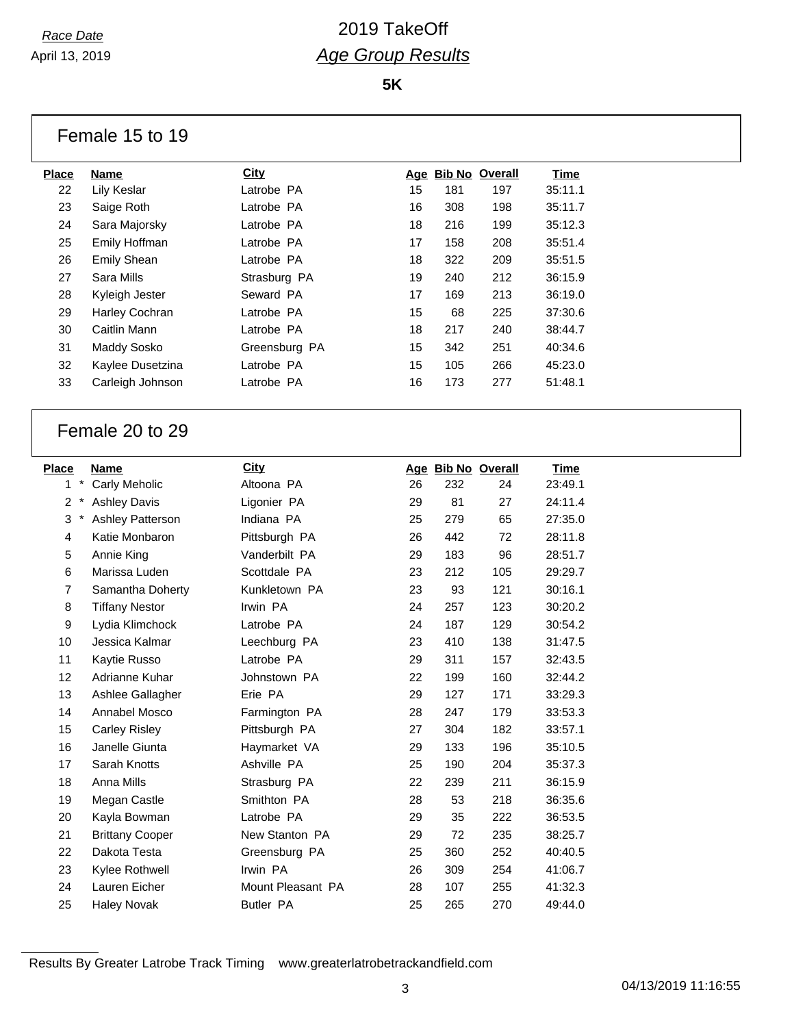**5K**

| Female 15 to 19 |  |  |  |
|-----------------|--|--|--|
|-----------------|--|--|--|

| <b>Place</b> | Name               | <b>City</b>   |    |     | Age Bib No Overall | Time    |
|--------------|--------------------|---------------|----|-----|--------------------|---------|
| 22           | Lily Keslar        | Latrobe PA    | 15 | 181 | 197                | 35:11.1 |
| 23           | Saige Roth         | Latrobe PA    | 16 | 308 | 198                | 35:11.7 |
| 24           | Sara Majorsky      | Latrobe PA    | 18 | 216 | 199                | 35:12.3 |
| 25           | Emily Hoffman      | Latrobe PA    | 17 | 158 | 208                | 35:51.4 |
| 26           | <b>Emily Shean</b> | Latrobe PA    | 18 | 322 | 209                | 35:51.5 |
| 27           | Sara Mills         | Strasburg PA  | 19 | 240 | 212                | 36:15.9 |
| 28           | Kyleigh Jester     | Seward PA     | 17 | 169 | 213                | 36:19.0 |
| 29           | Harley Cochran     | Latrobe PA    | 15 | 68  | 225                | 37:30.6 |
| 30           | Caitlin Mann       | Latrobe PA    | 18 | 217 | 240                | 38:44.7 |
| 31           | Maddy Sosko        | Greensburg PA | 15 | 342 | 251                | 40:34.6 |
| 32           | Kaylee Dusetzina   | Latrobe PA    | 15 | 105 | 266                | 45:23.0 |
| 33           | Carleigh Johnson   | Latrobe PA    | 16 | 173 | 277                | 51:48.1 |
|              |                    |               |    |     |                    |         |

### Female 20 to 29

| Place             |            | Name                    | City              |    | Age Bib No Overall |     | Time    |
|-------------------|------------|-------------------------|-------------------|----|--------------------|-----|---------|
| 1                 | $\star$    | Carly Meholic           | Altoona PA        | 26 | 232                | 24  | 23:49.1 |
| $\overline{2}$    | $^{\star}$ | <b>Ashley Davis</b>     | Ligonier PA       | 29 | 81                 | 27  | 24:11.4 |
| 3                 | $\ast$     | <b>Ashley Patterson</b> | Indiana PA        | 25 | 279                | 65  | 27:35.0 |
| 4                 |            | Katie Monbaron          | Pittsburgh PA     | 26 | 442                | 72  | 28:11.8 |
| 5                 |            | Annie King              | Vanderbilt PA     | 29 | 183                | 96  | 28:51.7 |
| 6                 |            | Marissa Luden           | Scottdale PA      | 23 | 212                | 105 | 29:29.7 |
| 7                 |            | Samantha Doherty        | Kunkletown PA     | 23 | 93                 | 121 | 30:16.1 |
| 8                 |            | <b>Tiffany Nestor</b>   | Irwin PA          | 24 | 257                | 123 | 30:20.2 |
| 9                 |            | Lydia Klimchock         | Latrobe PA        | 24 | 187                | 129 | 30:54.2 |
| 10                |            | Jessica Kalmar          | Leechburg PA      | 23 | 410                | 138 | 31:47.5 |
| 11                |            | Kaytie Russo            | Latrobe PA        | 29 | 311                | 157 | 32:43.5 |
| $12 \overline{ }$ |            | Adrianne Kuhar          | Johnstown PA      | 22 | 199                | 160 | 32:44.2 |
| 13                |            | Ashlee Gallagher        | Erie PA           | 29 | 127                | 171 | 33:29.3 |
| 14                |            | Annabel Mosco           | Farmington PA     | 28 | 247                | 179 | 33:53.3 |
| 15                |            | <b>Carley Risley</b>    | Pittsburgh PA     | 27 | 304                | 182 | 33:57.1 |
| 16                |            | Janelle Giunta          | Haymarket VA      | 29 | 133                | 196 | 35:10.5 |
| 17                |            | Sarah Knotts            | Ashville PA       | 25 | 190                | 204 | 35:37.3 |
| 18                |            | Anna Mills              | Strasburg PA      | 22 | 239                | 211 | 36:15.9 |
| 19                |            | Megan Castle            | Smithton PA       | 28 | 53                 | 218 | 36:35.6 |
| 20                |            | Kayla Bowman            | Latrobe PA        | 29 | 35                 | 222 | 36:53.5 |
| 21                |            | <b>Brittany Cooper</b>  | New Stanton PA    | 29 | 72                 | 235 | 38:25.7 |
| 22                |            | Dakota Testa            | Greensburg PA     | 25 | 360                | 252 | 40:40.5 |
| 23                |            | Kylee Rothwell          | Irwin PA          | 26 | 309                | 254 | 41:06.7 |
| 24                |            | Lauren Eicher           | Mount Pleasant PA | 28 | 107                | 255 | 41:32.3 |
| 25                |            | <b>Haley Novak</b>      | <b>Butler PA</b>  | 25 | 265                | 270 | 49:44.0 |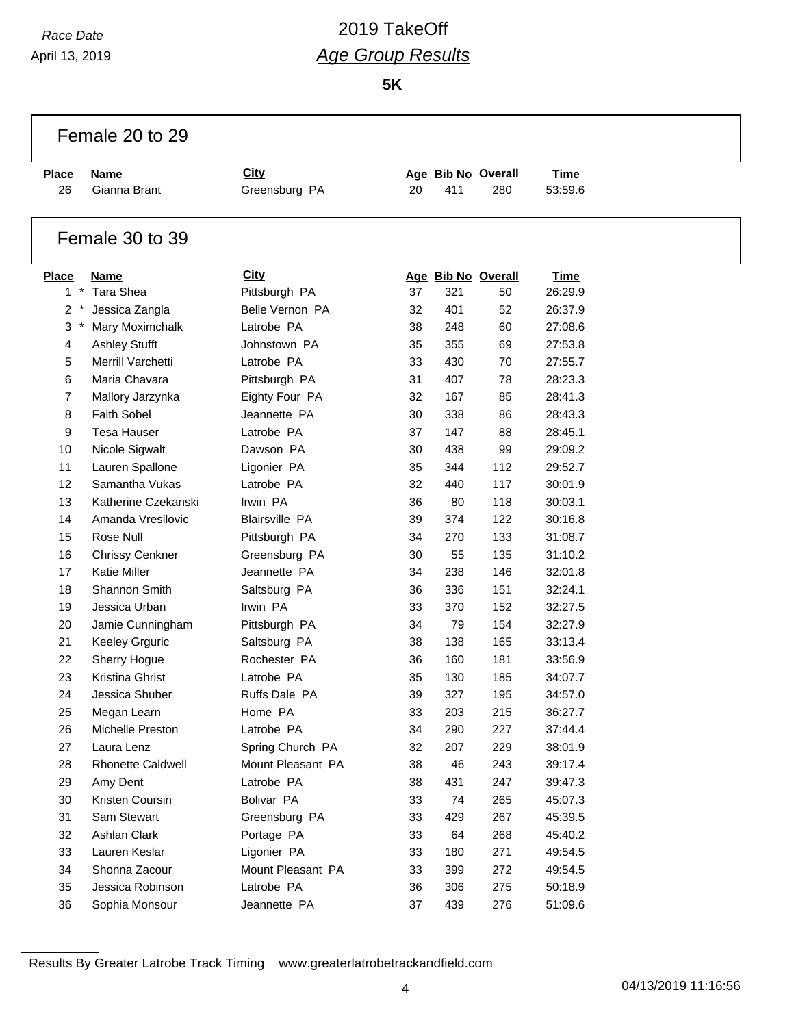April 13, 2019

## *Race Date* 2019 TakeOff *Age Group Results*

**5K**

| Female 20 to 29 |                          |                       |    |     |                    |             |  |
|-----------------|--------------------------|-----------------------|----|-----|--------------------|-------------|--|
| <b>Place</b>    | <b>Name</b>              | <b>City</b>           |    |     | Age Bib No Overall | <b>Time</b> |  |
| 26              | Gianna Brant             | Greensburg PA         | 20 | 411 | 280                | 53:59.6     |  |
|                 | Female 30 to 39          |                       |    |     |                    |             |  |
| <b>Place</b>    | <b>Name</b>              | <b>City</b>           |    |     | Age Bib No Overall | <b>Time</b> |  |
| $1 *$           | <b>Tara Shea</b>         | Pittsburgh PA         | 37 | 321 | 50                 | 26:29.9     |  |
| 2<br>$\cdot$    | Jessica Zangla           | Belle Vernon PA       | 32 | 401 | 52                 | 26:37.9     |  |
| 3               | Mary Moximchalk          | Latrobe PA            | 38 | 248 | 60                 | 27:08.6     |  |
| 4               | <b>Ashley Stufft</b>     | Johnstown PA          | 35 | 355 | 69                 | 27:53.8     |  |
| 5               | Merrill Varchetti        | Latrobe PA            | 33 | 430 | 70                 | 27:55.7     |  |
| 6               | Maria Chavara            | Pittsburgh PA         | 31 | 407 | 78                 | 28:23.3     |  |
| 7               | Mallory Jarzynka         | Eighty Four PA        | 32 | 167 | 85                 | 28:41.3     |  |
| 8               | <b>Faith Sobel</b>       | Jeannette PA          | 30 | 338 | 86                 | 28:43.3     |  |
| 9               | <b>Tesa Hauser</b>       | Latrobe PA            | 37 | 147 | 88                 | 28:45.1     |  |
| 10              | Nicole Sigwalt           | Dawson PA             | 30 | 438 | 99                 | 29:09.2     |  |
| 11              | Lauren Spallone          | Ligonier PA           | 35 | 344 | 112                | 29:52.7     |  |
| 12              | Samantha Vukas           | Latrobe PA            | 32 | 440 | 117                | 30:01.9     |  |
| 13              | Katherine Czekanski      | Irwin PA              | 36 | 80  | 118                | 30:03.1     |  |
| 14              | Amanda Vresilovic        | <b>Blairsville PA</b> | 39 | 374 | 122                | 30:16.8     |  |
| 15              | Rose Null                | Pittsburgh PA         | 34 | 270 | 133                | 31:08.7     |  |
| 16              | <b>Chrissy Cenkner</b>   | Greensburg PA         | 30 | 55  | 135                | 31:10.2     |  |
| 17              | <b>Katie Miller</b>      | Jeannette PA          | 34 | 238 | 146                | 32:01.8     |  |
| 18              | Shannon Smith            | Saltsburg PA          | 36 | 336 | 151                | 32:24.1     |  |
| 19              | Jessica Urban            | Irwin PA              | 33 | 370 | 152                | 32:27.5     |  |
| 20              | Jamie Cunningham         | Pittsburgh PA         | 34 | 79  | 154                | 32:27.9     |  |
| 21              | <b>Keeley Grguric</b>    | Saltsburg PA          | 38 | 138 | 165                | 33:13.4     |  |
| 22              | Sherry Hogue             | Rochester PA          | 36 | 160 | 181                | 33:56.9     |  |
| 23              | Kristina Ghrist          | Latrobe PA            | 35 | 130 | 185                | 34:07.7     |  |
| 24              | Jessica Shuber           | Ruffs Dale PA         | 39 | 327 | 195                | 34:57.0     |  |
| 25              | Megan Learn              | Home PA               | 33 | 203 | 215                | 36:27.7     |  |
| 26              | Michelle Preston         | Latrobe PA            | 34 | 290 | 227                | 37:44.4     |  |
| 27              | Laura Lenz               | Spring Church PA      | 32 | 207 | 229                | 38:01.9     |  |
| 28              | <b>Rhonette Caldwell</b> | Mount Pleasant PA     | 38 | 46  | 243                | 39:17.4     |  |
| 29              | Amy Dent                 | Latrobe PA            | 38 | 431 | 247                | 39:47.3     |  |
| 30              | Kristen Coursin          | Bolivar PA            | 33 | 74  | 265                | 45:07.3     |  |
| 31              | Sam Stewart              | Greensburg PA         | 33 | 429 | 267                | 45:39.5     |  |
| 32              | Ashlan Clark             | Portage PA            | 33 | 64  | 268                | 45:40.2     |  |
| 33              | Lauren Keslar            | Ligonier PA           | 33 | 180 | 271                | 49:54.5     |  |
| 34              | Shonna Zacour            | Mount Pleasant PA     | 33 | 399 | 272                | 49:54.5     |  |
| 35              | Jessica Robinson         | Latrobe PA            | 36 | 306 | 275                | 50:18.9     |  |
| 36              | Sophia Monsour           | Jeannette PA          | 37 | 439 | 276                | 51:09.6     |  |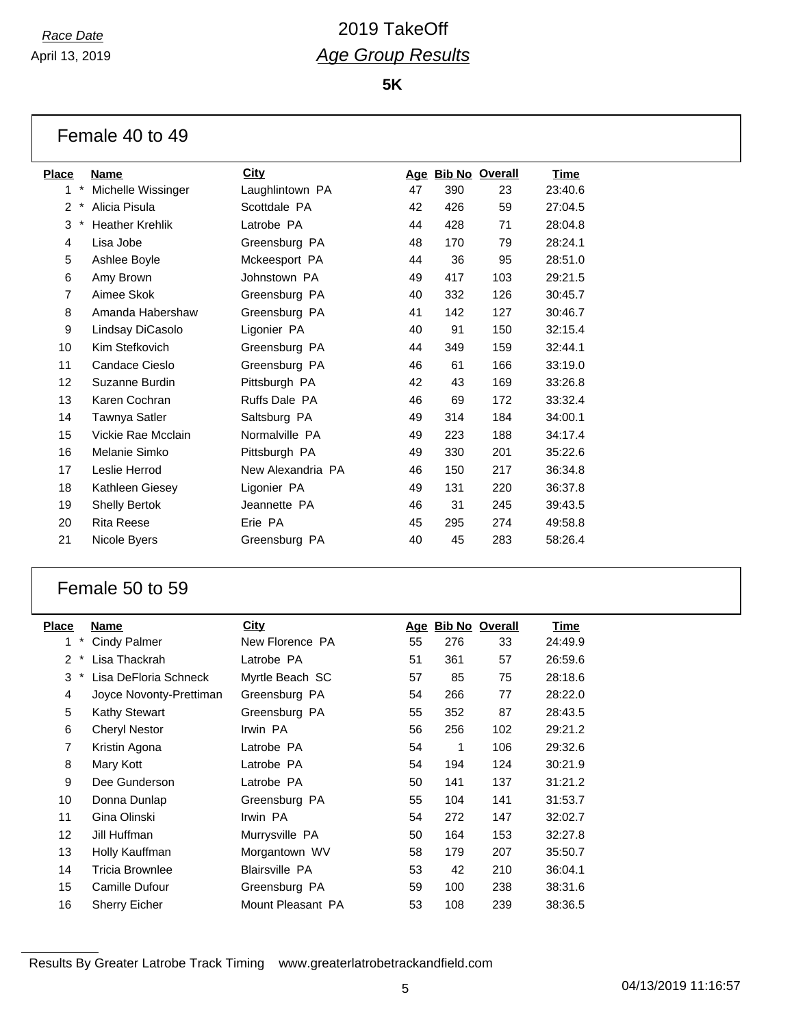April 13, 2019

## *Race Date* 2019 TakeOff *Age Group Results*

**5K**

| Female 40 to 49 |  |  |  |  |
|-----------------|--|--|--|--|
|-----------------|--|--|--|--|

| Place |            | <b>Name</b>            | <b>City</b>          |    |     | Age Bib No Overall | <u>Time</u> |
|-------|------------|------------------------|----------------------|----|-----|--------------------|-------------|
| 1     | $\star$    | Michelle Wissinger     | Laughlintown PA      | 47 | 390 | 23                 | 23:40.6     |
| 2     |            | Alicia Pisula          | Scottdale PA         | 42 | 426 | 59                 | 27:04.5     |
| 3     | $^{\star}$ | <b>Heather Krehlik</b> | Latrobe PA           | 44 | 428 | 71                 | 28:04.8     |
| 4     |            | Lisa Jobe              | Greensburg PA        | 48 | 170 | 79                 | 28:24.1     |
| 5     |            | Ashlee Boyle           | Mckeesport PA        | 44 | 36  | 95                 | 28:51.0     |
| 6     |            | Amy Brown              | Johnstown PA         | 49 | 417 | 103                | 29:21.5     |
| 7     |            | Aimee Skok             | Greensburg PA        | 40 | 332 | 126                | 30:45.7     |
| 8     |            | Amanda Habershaw       | Greensburg PA        | 41 | 142 | 127                | 30:46.7     |
| 9     |            | Lindsay DiCasolo       | Ligonier PA          | 40 | 91  | 150                | 32:15.4     |
| 10    |            | Kim Stefkovich         | Greensburg PA        | 44 | 349 | 159                | 32:44.1     |
| 11    |            | Candace Cieslo         | Greensburg PA        | 46 | 61  | 166                | 33:19.0     |
| 12    |            | Suzanne Burdin         | Pittsburgh PA        | 42 | 43  | 169                | 33:26.8     |
| 13    |            | Karen Cochran          | <b>Ruffs Dale PA</b> | 46 | 69  | 172                | 33:32.4     |
| 14    |            | Tawnya Satler          | Saltsburg PA         | 49 | 314 | 184                | 34:00.1     |
| 15    |            | Vickie Rae Mcclain     | Normalville PA       | 49 | 223 | 188                | 34:17.4     |
| 16    |            | Melanie Simko          | Pittsburgh PA        | 49 | 330 | 201                | 35:22.6     |
| 17    |            | Leslie Herrod          | New Alexandria PA    | 46 | 150 | 217                | 36:34.8     |
| 18    |            | Kathleen Giesey        | Ligonier PA          | 49 | 131 | 220                | 36:37.8     |
| 19    |            | <b>Shelly Bertok</b>   | Jeannette PA         | 46 | 31  | 245                | 39:43.5     |
| 20    |            | <b>Rita Reese</b>      | Erie PA              | 45 | 295 | 274                | 49:58.8     |
| 21    |            | Nicole Byers           | Greensburg PA        | 40 | 45  | 283                | 58:26.4     |
|       |            |                        |                      |    |     |                    |             |

### Female 50 to 59

| <b>Place</b>       | Name                    | City                  | Age | <b>Bib No Overall</b> |     | Time    |
|--------------------|-------------------------|-----------------------|-----|-----------------------|-----|---------|
| $\ast$<br>1        | <b>Cindy Palmer</b>     | New Florence PA       | 55  | 276                   | 33  | 24:49.9 |
| $\mathcal{P}$<br>* | Lisa Thackrah           | Latrobe PA            | 51  | 361                   | 57  | 26:59.6 |
| 3<br>$\ast$        | Lisa DeFloria Schneck   | Myrtle Beach SC       | 57  | 85                    | 75  | 28:18.6 |
| 4                  | Joyce Novonty-Prettiman | Greensburg PA         | 54  | 266                   | 77  | 28:22.0 |
| 5                  | <b>Kathy Stewart</b>    | Greensburg PA         | 55  | 352                   | 87  | 28:43.5 |
| 6                  | <b>Cheryl Nestor</b>    | Irwin PA              | 56  | 256                   | 102 | 29:21.2 |
| 7                  | Kristin Agona           | Latrobe PA            | 54  | 1                     | 106 | 29:32.6 |
| 8                  | Mary Kott               | Latrobe PA            | 54  | 194                   | 124 | 30:21.9 |
| 9                  | Dee Gunderson           | Latrobe PA            | 50  | 141                   | 137 | 31:21.2 |
| 10                 | Donna Dunlap            | Greensburg PA         | 55  | 104                   | 141 | 31:53.7 |
| 11                 | Gina Olinski            | Irwin PA              | 54  | 272                   | 147 | 32:02.7 |
| 12                 | Jill Huffman            | Murrysville PA        | 50  | 164                   | 153 | 32:27.8 |
| 13                 | Holly Kauffman          | Morgantown WV         | 58  | 179                   | 207 | 35:50.7 |
| 14                 | Tricia Brownlee         | <b>Blairsville PA</b> | 53  | 42                    | 210 | 36:04.1 |
| 15                 | Camille Dufour          | Greensburg PA         | 59  | 100                   | 238 | 38:31.6 |
| 16                 | <b>Sherry Eicher</b>    | Mount Pleasant PA     | 53  | 108                   | 239 | 38:36.5 |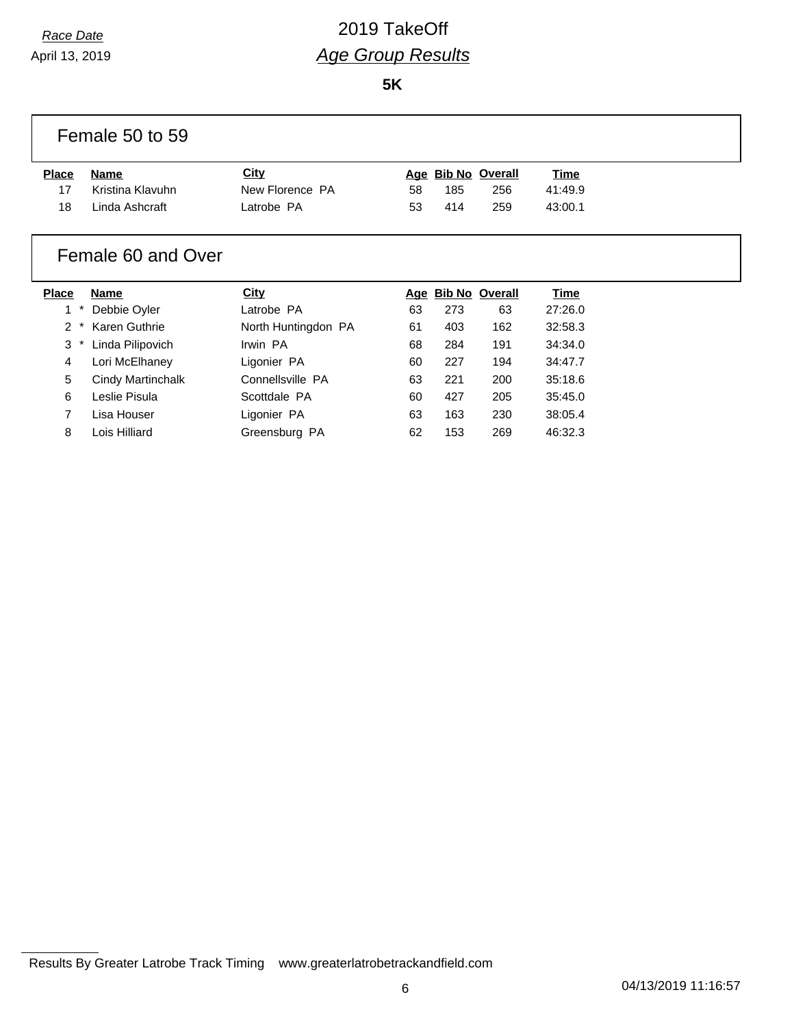April 13, 2019

# *Race Date* 2019 TakeOff *Age Group Results*

**5K**

|       | Female 50 to 59  |                 |    |     |                    |         |  |
|-------|------------------|-----------------|----|-----|--------------------|---------|--|
| Place | Name             | <u>City</u>     |    |     | Age Bib No Overall | Time    |  |
| 17    | Kristina Klavuhn | New Florence PA | 58 | 185 | 256                | 41:49.9 |  |
| 18    | Linda Ashcraft   | Latrobe PA      | 53 | 414 | 259                | 43:00.1 |  |

### Female 60 and Over

| <b>Place</b>  |        | <b>Name</b>       | City                |    | Age Bib No Overall |     | <b>Time</b> |
|---------------|--------|-------------------|---------------------|----|--------------------|-----|-------------|
|               |        | Debbie Oyler      | Latrobe PA          | 63 | 273                | 63  | 27:26.0     |
| $\mathcal{P}$ | $\ast$ | Karen Guthrie     | North Huntingdon PA | 61 | 403                | 162 | 32:58.3     |
| 3             |        | Linda Pilipovich  | Irwin PA            | 68 | 284                | 191 | 34:34.0     |
| 4             |        | Lori McElhaney    | Ligonier PA         | 60 | 227                | 194 | 34:47.7     |
| 5             |        | Cindy Martinchalk | Connellsville PA    | 63 | 221                | 200 | 35:18.6     |
| 6             |        | Leslie Pisula     | Scottdale PA        | 60 | 427                | 205 | 35:45.0     |
|               |        | Lisa Houser       | Ligonier PA         | 63 | 163                | 230 | 38:05.4     |
| 8             |        | Lois Hilliard     | Greensburg PA       | 62 | 153                | 269 | 46:32.3     |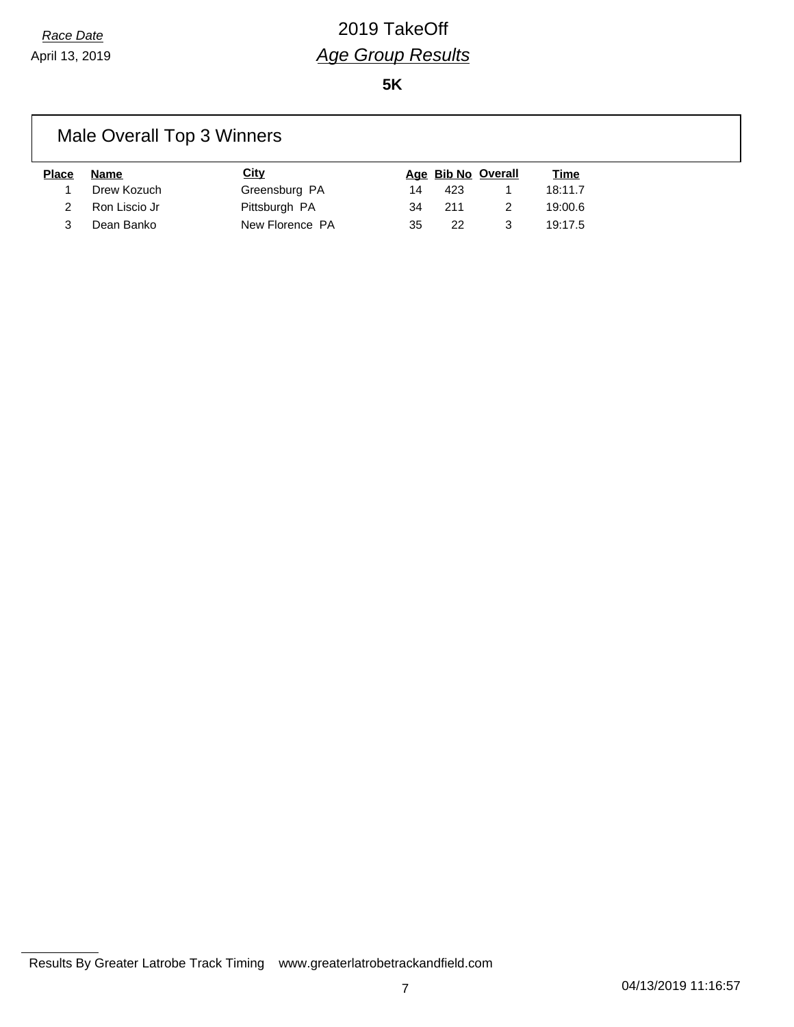**5K**

# Male Overall Top 3 Winners

| <b>Place</b> | Name          | City            |    |      | Age Bib No Overall | <u>Time</u> |
|--------------|---------------|-----------------|----|------|--------------------|-------------|
|              | Drew Kozuch   | Greensburg PA   | 14 | 423  |                    | 18:11.7     |
|              | Ron Liscio Jr | Pittsburgh PA   | 34 | -211 |                    | 19:00.6     |
|              | Dean Banko    | New Florence PA | 35 | 22   |                    | 19:17.5     |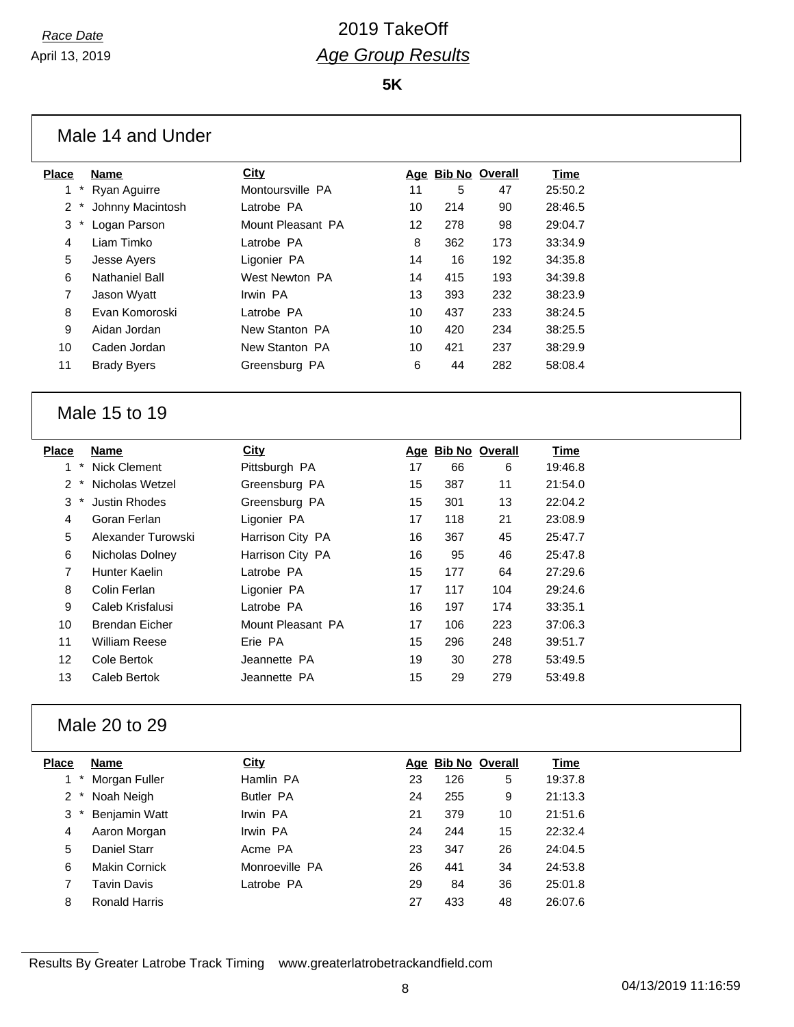**5K**

| <b>Place</b>                    | <b>Name</b>                        | City                         |    |     | Age Bib No Overall      | <b>Time</b>            |
|---------------------------------|------------------------------------|------------------------------|----|-----|-------------------------|------------------------|
| 1.                              | Ryan Aguirre                       | Montoursville PA             | 11 | 5   | 47                      | 25:50.2                |
| 2                               | Johnny Macintosh                   | Latrobe PA                   | 10 | 214 | 90                      | 28:46.5                |
| 3                               | Logan Parson                       | Mount Pleasant PA            | 12 | 278 | 98                      | 29:04.7                |
| 4                               | Liam Timko                         | Latrobe PA                   | 8  | 362 | 173                     | 33:34.9                |
| 5                               | Jesse Ayers                        | Ligonier PA                  | 14 | 16  | 192                     | 34:35.8                |
| 6                               | <b>Nathaniel Ball</b>              | West Newton PA               | 14 | 415 | 193                     | 34:39.8                |
| 7                               | Jason Wyatt                        | Irwin PA                     | 13 | 393 | 232                     | 38:23.9                |
| 8                               | Evan Komoroski                     | Latrobe PA                   | 10 | 437 | 233                     | 38:24.5                |
| 9                               | Aidan Jordan                       | New Stanton PA               | 10 | 420 | 234                     | 38:25.5                |
| 10                              | Caden Jordan                       | New Stanton PA               | 10 | 421 | 237                     | 38:29.9                |
| 11                              | <b>Brady Byers</b>                 | Greensburg PA                | 6  | 44  | 282                     | 58:08.4                |
| <b>Place</b><br>$^{\star}$<br>1 | <b>Name</b><br><b>Nick Clement</b> | <b>City</b><br>Pittsburgh PA | 17 | 66  | Age Bib No Overall<br>6 | <b>Time</b><br>19:46.8 |
| 2                               | Nicholas Wetzel                    | Greensburg PA                | 15 | 387 | 11                      | 21:54.0                |
| 3                               | <b>Justin Rhodes</b>               | Greensburg PA                | 15 | 301 | 13                      | 22:04.2                |
| 4                               | Goran Ferlan                       | Ligonier PA                  | 17 | 118 | 21                      | 23:08.9                |
| 5                               | Alexander Turowski                 | Harrison City PA             | 16 | 367 | 45                      | 25:47.7                |
| 6                               | Nicholas Dolney                    | Harrison City PA             | 16 | 95  | 46                      | 25:47.8                |
| 7                               | <b>Hunter Kaelin</b>               | Latrobe PA                   | 15 | 177 | 64                      | 27:29.6                |
| 8                               | Colin Ferlan                       | Ligonier PA                  | 17 | 117 | 104                     | 29:24.6                |
| 9                               | Caleb Krisfalusi                   | Latrobe PA                   | 16 | 197 | 174                     | 33:35.1                |
| 10                              | <b>Brendan Eicher</b>              | Mount Pleasant PA            | 17 | 106 | 223                     | 37:06.3                |
| 11                              | <b>William Reese</b>               | Erie PA                      | 15 | 296 | 248                     | 39:51.7                |
| 12                              | Cole Bertok                        | Jeannette PA                 | 19 | 30  | 278                     | 53:49.5                |
| 13                              | Caleb Bertok                       | Jeannette PA                 | 15 | 29  | 279                     | 53:49.8                |
|                                 | Male 20 to 29                      |                              |    |     |                         |                        |
| <b>Place</b>                    | <b>Name</b>                        | City                         |    |     | Age Bib No Overall      | <b>Time</b>            |
| 1.                              | Morgan Fuller                      | Hamlin PA                    | 23 | 126 | 5                       | 19:37.8                |
| 2                               | Noah Neigh                         | <b>Butler PA</b>             | 24 | 255 | 9                       | 21:13.3                |
| 3                               | Benjamin Watt<br>Aaron Morgan      | Irwin PA                     | 21 | 379 | 10                      | 21:51.6                |
| 4                               |                                    | Irwin PA                     | 24 | 244 | 15                      | 22:32.4                |

Results By Greater Latrobe Track Timing www.greaterlatrobetrackandfield.com

5 Daniel Starr **Acme PA** 23 347 26 24:04.5 Makin Cornick Monroeville PA 26 441 34 24:53.8 Tavin Davis Latrobe PA 29 84 36 25:01.8 Ronald Harris 27 433 48 26:07.6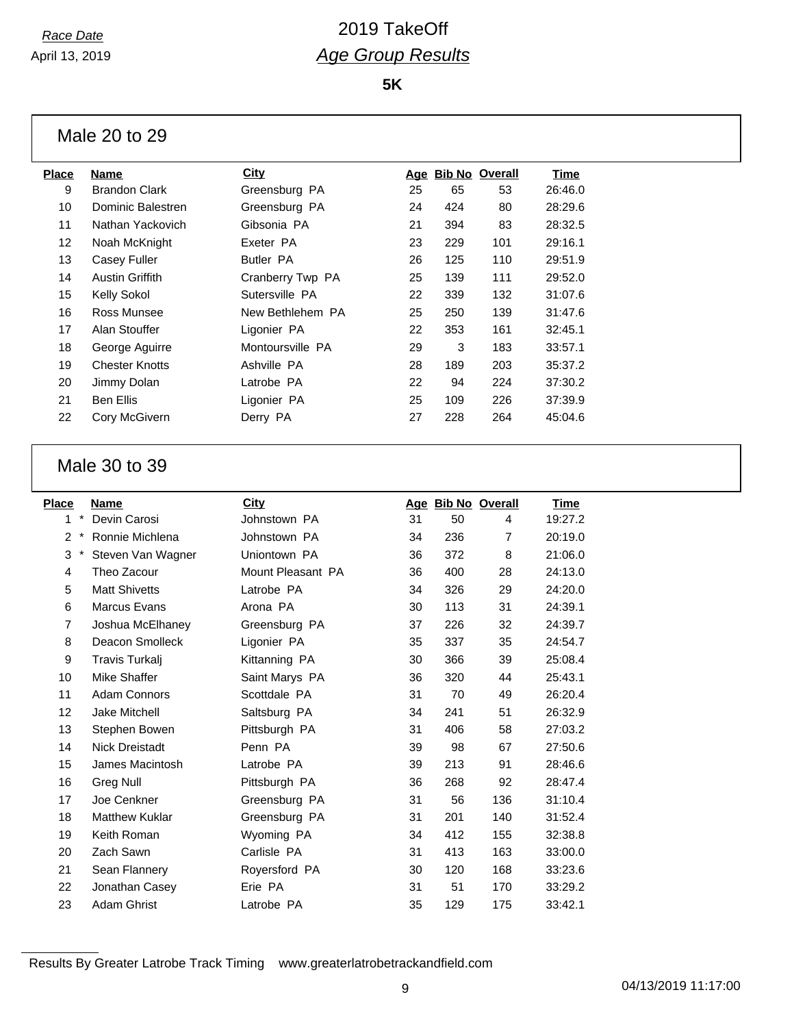**5K**

Male 20 to 29

| <b>Place</b> | Name                  | City             |    |     | Age Bib No Overall | Time    |
|--------------|-----------------------|------------------|----|-----|--------------------|---------|
| 9            | <b>Brandon Clark</b>  | Greensburg PA    | 25 | 65  | 53                 | 26:46.0 |
| 10           | Dominic Balestren     | Greensburg PA    | 24 | 424 | 80                 | 28:29.6 |
| 11           | Nathan Yackovich      | Gibsonia PA      | 21 | 394 | 83                 | 28:32.5 |
| 12           | Noah McKnight         | Exeter PA        | 23 | 229 | 101                | 29:16.1 |
| 13           | Casey Fuller          | <b>Butler PA</b> | 26 | 125 | 110                | 29:51.9 |
| 14           | Austin Griffith       | Cranberry Twp PA | 25 | 139 | 111                | 29:52.0 |
| 15           | <b>Kelly Sokol</b>    | Sutersville PA   | 22 | 339 | 132                | 31:07.6 |
| 16           | Ross Munsee           | New Bethlehem PA | 25 | 250 | 139                | 31:47.6 |
| 17           | Alan Stouffer         | Ligonier PA      | 22 | 353 | 161                | 32:45.1 |
| 18           | George Aguirre        | Montoursville PA | 29 | 3   | 183                | 33:57.1 |
| 19           | <b>Chester Knotts</b> | Ashville PA      | 28 | 189 | 203                | 35:37.2 |
| 20           | Jimmy Dolan           | Latrobe PA       | 22 | 94  | 224                | 37:30.2 |
| 21           | Ben Ellis             | Ligonier PA      | 25 | 109 | 226                | 37:39.9 |
| 22           | Cory McGivern         | Derry PA         | 27 | 228 | 264                | 45:04.6 |
|              |                       |                  |    |     |                    |         |

#### Male 30 to 39

| <b>Place</b>   |          | Name                  | City              |    |     | Age Bib No Overall | Time    |
|----------------|----------|-----------------------|-------------------|----|-----|--------------------|---------|
| 1              | $\star$  | Devin Carosi          | Johnstown PA      | 31 | 50  | 4                  | 19:27.2 |
| 2              | $^\star$ | Ronnie Michlena       | Johnstown PA      | 34 | 236 | 7                  | 20:19.0 |
| 3              | $\ast$   | Steven Van Wagner     | Uniontown PA      | 36 | 372 | 8                  | 21:06.0 |
| 4              |          | Theo Zacour           | Mount Pleasant PA | 36 | 400 | 28                 | 24:13.0 |
| 5              |          | <b>Matt Shivetts</b>  | Latrobe PA        | 34 | 326 | 29                 | 24:20.0 |
| 6              |          | <b>Marcus Evans</b>   | Arona PA          | 30 | 113 | 31                 | 24:39.1 |
| $\overline{7}$ |          | Joshua McElhaney      | Greensburg PA     | 37 | 226 | 32                 | 24:39.7 |
| 8              |          | Deacon Smolleck       | Ligonier PA       | 35 | 337 | 35                 | 24:54.7 |
| 9              |          | Travis Turkalj        | Kittanning PA     | 30 | 366 | 39                 | 25:08.4 |
| 10             |          | Mike Shaffer          | Saint Marys PA    | 36 | 320 | 44                 | 25:43.1 |
| 11             |          | <b>Adam Connors</b>   | Scottdale PA      | 31 | 70  | 49                 | 26:20.4 |
| 12             |          | <b>Jake Mitchell</b>  | Saltsburg PA      | 34 | 241 | 51                 | 26:32.9 |
| 13             |          | Stephen Bowen         | Pittsburgh PA     | 31 | 406 | 58                 | 27:03.2 |
| 14             |          | <b>Nick Dreistadt</b> | Penn PA           | 39 | 98  | 67                 | 27:50.6 |
| 15             |          | James Macintosh       | Latrobe PA        | 39 | 213 | 91                 | 28:46.6 |
| 16             |          | <b>Greg Null</b>      | Pittsburgh PA     | 36 | 268 | 92                 | 28:47.4 |
| 17             |          | Joe Cenkner           | Greensburg PA     | 31 | 56  | 136                | 31:10.4 |
| 18             |          | <b>Matthew Kuklar</b> | Greensburg PA     | 31 | 201 | 140                | 31:52.4 |
| 19             |          | Keith Roman           | Wyoming PA        | 34 | 412 | 155                | 32:38.8 |
| 20             |          | Zach Sawn             | Carlisle PA       | 31 | 413 | 163                | 33:00.0 |
| 21             |          | Sean Flannery         | Royersford PA     | 30 | 120 | 168                | 33:23.6 |
| 22             |          | Jonathan Casey        | Erie PA           | 31 | 51  | 170                | 33:29.2 |
| 23             |          | <b>Adam Ghrist</b>    | Latrobe PA        | 35 | 129 | 175                | 33:42.1 |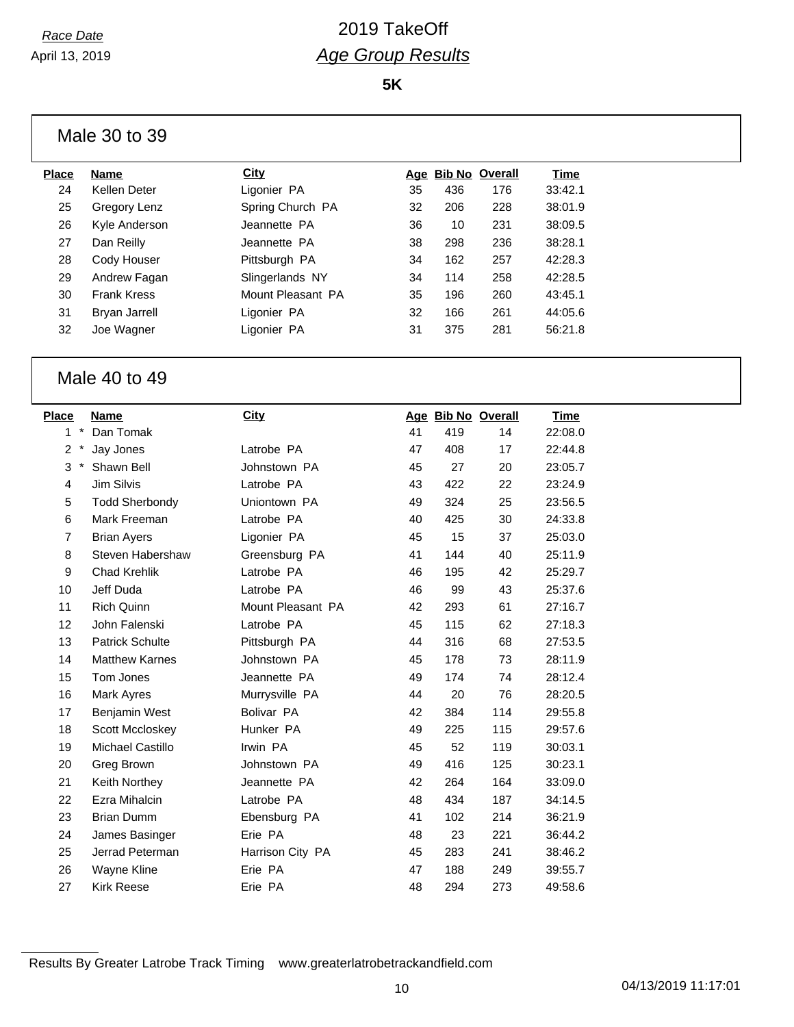**5K**

Male 30 to 39

| Place | <b>Name</b>          | City              |    | Age Bib No Overall |     | Time    |
|-------|----------------------|-------------------|----|--------------------|-----|---------|
| 24    | Kellen Deter         | Ligonier PA       | 35 | 436                | 176 | 33:42.1 |
| 25    | Gregory Lenz         | Spring Church PA  | 32 | 206                | 228 | 38:01.9 |
| 26    | Kyle Anderson        | Jeannette PA      | 36 | 10                 | 231 | 38:09.5 |
| 27    | Dan Reilly           | Jeannette PA      | 38 | 298                | 236 | 38:28.1 |
| 28    | Cody Houser          | Pittsburgh PA     | 34 | 162                | 257 | 42:28.3 |
| 29    | Andrew Fagan         | Slingerlands NY   | 34 | 114                | 258 | 42:28.5 |
| 30    | <b>Frank Kress</b>   | Mount Pleasant PA | 35 | 196                | 260 | 43:45.1 |
| 31    | <b>Bryan Jarrell</b> | Ligonier PA       | 32 | 166                | 261 | 44:05.6 |
| 32    | Joe Wagner           | Ligonier PA       | 31 | 375                | 281 | 56:21.8 |
|       |                      |                   |    |                    |     |         |

#### Male 40 to 49

| Place          |              | Name                   | <b>City</b>       |    | Age Bib No Overall |     | Time    |
|----------------|--------------|------------------------|-------------------|----|--------------------|-----|---------|
| 1              | $\pmb{\ast}$ | Dan Tomak              |                   | 41 | 419                | 14  | 22:08.0 |
| 2              |              | Jay Jones              | Latrobe PA        | 47 | 408                | 17  | 22:44.8 |
| 3              | $\pmb{\ast}$ | Shawn Bell             | Johnstown PA      | 45 | 27                 | 20  | 23:05.7 |
| 4              |              | Jim Silvis             | Latrobe PA        | 43 | 422                | 22  | 23:24.9 |
| 5              |              | <b>Todd Sherbondy</b>  | Uniontown PA      | 49 | 324                | 25  | 23:56.5 |
| 6              |              | Mark Freeman           | Latrobe PA        | 40 | 425                | 30  | 24:33.8 |
| $\overline{7}$ |              | <b>Brian Ayers</b>     | Ligonier PA       | 45 | 15                 | 37  | 25:03.0 |
| 8              |              | Steven Habershaw       | Greensburg PA     | 41 | 144                | 40  | 25:11.9 |
| 9              |              | <b>Chad Krehlik</b>    | Latrobe PA        | 46 | 195                | 42  | 25:29.7 |
| 10             |              | Jeff Duda              | Latrobe PA        | 46 | 99                 | 43  | 25:37.6 |
| 11             |              | Rich Quinn             | Mount Pleasant PA | 42 | 293                | 61  | 27:16.7 |
| 12             |              | John Falenski          | Latrobe PA        | 45 | 115                | 62  | 27:18.3 |
| 13             |              | <b>Patrick Schulte</b> | Pittsburgh PA     | 44 | 316                | 68  | 27:53.5 |
| 14             |              | <b>Matthew Karnes</b>  | Johnstown PA      | 45 | 178                | 73  | 28:11.9 |
| 15             |              | Tom Jones              | Jeannette PA      | 49 | 174                | 74  | 28:12.4 |
| 16             |              | Mark Ayres             | Murrysville PA    | 44 | 20                 | 76  | 28:20.5 |
| 17             |              | Benjamin West          | Bolivar PA        | 42 | 384                | 114 | 29:55.8 |
| 18             |              | Scott Mccloskey        | Hunker PA         | 49 | 225                | 115 | 29:57.6 |
| 19             |              | Michael Castillo       | Irwin PA          | 45 | 52                 | 119 | 30:03.1 |
| 20             |              | Greg Brown             | Johnstown PA      | 49 | 416                | 125 | 30:23.1 |
| 21             |              | Keith Northey          | Jeannette PA      | 42 | 264                | 164 | 33:09.0 |
| 22             |              | Ezra Mihalcin          | Latrobe PA        | 48 | 434                | 187 | 34:14.5 |
| 23             |              | <b>Brian Dumm</b>      | Ebensburg PA      | 41 | 102                | 214 | 36:21.9 |
| 24             |              | James Basinger         | Erie PA           | 48 | 23                 | 221 | 36:44.2 |
| 25             |              | Jerrad Peterman        | Harrison City PA  | 45 | 283                | 241 | 38:46.2 |
| 26             |              | Wayne Kline            | Erie PA           | 47 | 188                | 249 | 39:55.7 |
| 27             |              | <b>Kirk Reese</b>      | Erie PA           | 48 | 294                | 273 | 49:58.6 |